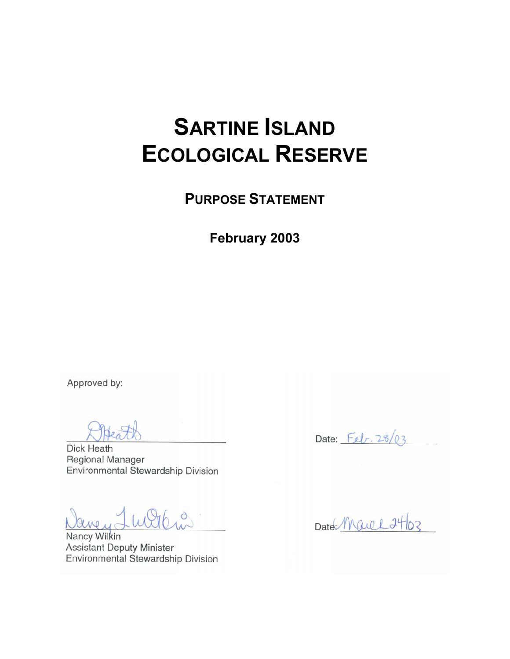# **SARTINE ISLAND ECOLOGICAL RESERVE**

**PURPOSE STATEMENT**

**February 2003** 

Approved by:

Dick Heath Regional Manager Environmental Stewardship Division

Lulte  $ewu_{\alpha}$ 

Nancy Wilkin **Assistant Deputy Minister** Environmental Stewardship Division

Date:  $F_{el}r. 28/03$ 

Date: Marel 24/03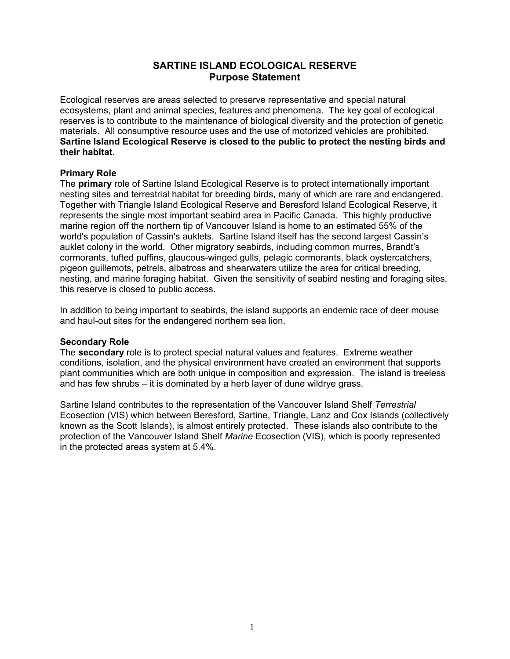## **SARTINE ISLAND ECOLOGICAL RESERVE Purpose Statement**

Ecological reserves are areas selected to preserve representative and special natural ecosystems, plant and animal species, features and phenomena. The key goal of ecological reserves is to contribute to the maintenance of biological diversity and the protection of genetic materials. All consumptive resource uses and the use of motorized vehicles are prohibited. **Sartine Island Ecological Reserve is closed to the public to protect the nesting birds and their habitat.**

### **Primary Role**

The **primary** role of Sartine Island Ecological Reserve is to protect internationally important nesting sites and terrestrial habitat for breeding birds, many of which are rare and endangered. Together with Triangle Island Ecological Reserve and Beresford Island Ecological Reserve, it represents the single most important seabird area in Pacific Canada. This highly productive marine region off the northern tip of Vancouver Island is home to an estimated 55% of the world's population of Cassin's auklets. Sartine Island itself has the second largest Cassin's auklet colony in the world. Other migratory seabirds, including common murres, Brandt's cormorants, tufted puffins, glaucous-winged gulls, pelagic cormorants, black oystercatchers, pigeon guillemots, petrels, albatross and shearwaters utilize the area for critical breeding, nesting, and marine foraging habitat. Given the sensitivity of seabird nesting and foraging sites, this reserve is closed to public access.

In addition to being important to seabirds, the island supports an endemic race of deer mouse and haul-out sites for the endangered northern sea lion.

#### **Secondary Role**

The **secondary** role is to protect special natural values and features. Extreme weather conditions, isolation, and the physical environment have created an environment that supports plant communities which are both unique in composition and expression. The island is treeless and has few shrubs  $-$  it is dominated by a herb layer of dune wildrye grass.

Sartine Island contributes to the representation of the Vancouver Island Shelf *Terrestrial* Ecosection (VIS) which between Beresford, Sartine, Triangle, Lanz and Cox Islands (collectively known as the Scott Islands), is almost entirely protected. These islands also contribute to the protection of the Vancouver Island Shelf *Marine* Ecosection (VIS), which is poorly represented in the protected areas system at 5.4%.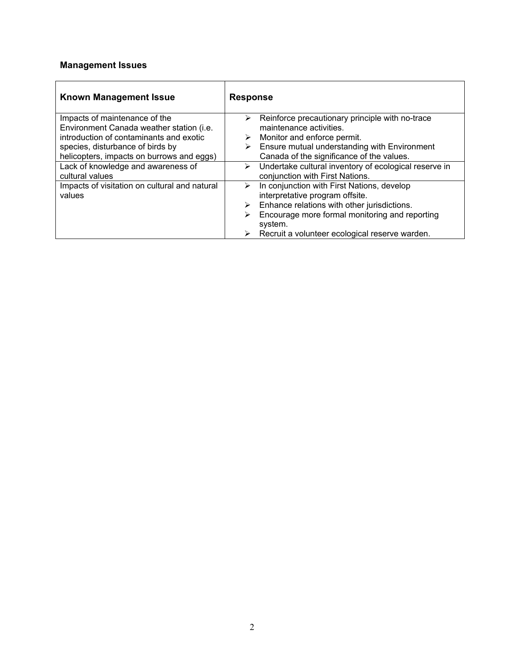# **Management Issues**

| <b>Known Management Issue</b>                 | <b>Response</b>                                            |  |
|-----------------------------------------------|------------------------------------------------------------|--|
| Impacts of maintenance of the                 | Reinforce precautionary principle with no-trace<br>➤       |  |
| Environment Canada weather station (i.e.      | maintenance activities.                                    |  |
| introduction of contaminants and exotic       | $\triangleright$ Monitor and enforce permit.               |  |
| species, disturbance of birds by              | Ensure mutual understanding with Environment               |  |
| helicopters, impacts on burrows and eggs)     | Canada of the significance of the values.                  |  |
| Lack of knowledge and awareness of            | Undertake cultural inventory of ecological reserve in<br>➤ |  |
| cultural values                               | conjunction with First Nations.                            |  |
| Impacts of visitation on cultural and natural | In conjunction with First Nations, develop<br>➤            |  |
| values                                        | interpretative program offsite.                            |  |
|                                               | Enhance relations with other jurisdictions.<br>≻           |  |
|                                               | Encourage more formal monitoring and reporting<br>➤        |  |
|                                               | system.                                                    |  |
|                                               | Recruit a volunteer ecological reserve warden.<br>➤        |  |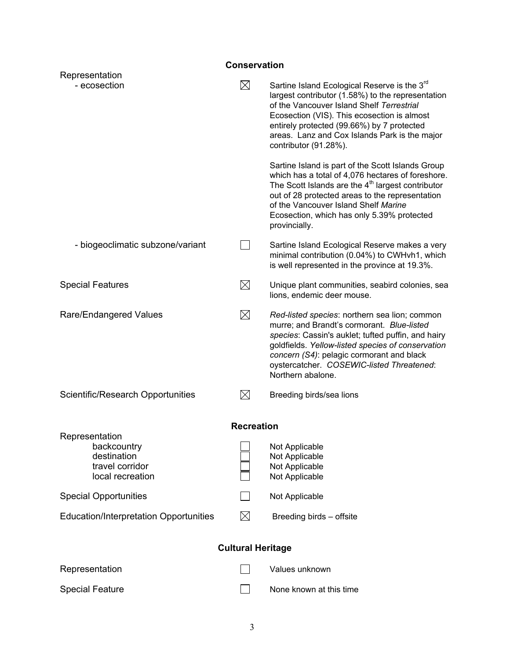# **Conservation**  Representation - ecosection Sartine Island Ecological Reserve is the 3<sup>rd</sup> largest contributor (1.58%) to the representation of the Vancouver Island Shelf *Terrestrial*  Ecosection (VIS). This ecosection is almost entirely protected (99.66%) by 7 protected areas. Lanz and Cox Islands Park is the major contributor (91.28%). Sartine Island is part of the Scott Islands Group which has a total of 4,076 hectares of foreshore. The Scott Islands are the  $4<sup>th</sup>$  largest contributor out of 28 protected areas to the representation of the Vancouver Island Shelf *Marine* Ecosection, which has only 5.39% protected provincially. - biogeoclimatic subzone/variant  $\Box$  Sartine Island Ecological Reserve makes a very minimal contribution (0.04%) to CWHvh1, which is well represented in the province at 19.3%. Special Features  $\boxtimes$  Unique plant communities, seabird colonies, sea lions, endemic deer mouse. Rare/Endangered Values *Red-listed species:* northern sea lion; common murre; and Brandt's cormorant. *Blue-listed species*: Cassin's auklet; tufted puffin, and hairy goldfields. *Yellow-listed species of conservation concern (S4)*: pelagic cormorant and black oystercatcher. *COSEWIC-listed Threatened*: Northern abalone. Scientific/Research Opportunities  $\boxtimes$  Breeding birds/sea lions **Recreation**  Representation backcountry Deckenbackcountry Not Applicable destination  $\Box$  Not Applicable<br>travel corridor  $\Box$  Not Applicable Not Applicable<br>Not Applicable local recreation Special Opportunities Not Applicable Education/Interpretation Opportunities  $\boxtimes$  Breeding birds – offsite **Cultural Heritage**  Representation and Contract Contract Contract Contract Values unknown Special Feature  $\Box$  None known at this time